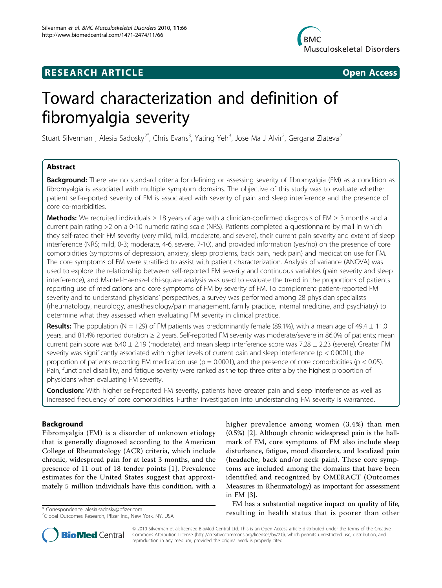

## **RESEARCH ARTICLE Example 2014 CONSUMING ACCESS**



# Toward characterization and definition of fibromyalgia severity

Stuart Silverman<sup>1</sup>, Alesia Sadosky<sup>2\*</sup>, Chris Evans<sup>3</sup>, Yating Yeh<sup>3</sup>, Jose Ma J Alvir<sup>2</sup>, Gergana Zlateva<sup>2</sup>

## Abstract

**Background:** There are no standard criteria for defining or assessing severity of fibromyalgia (FM) as a condition as fibromyalgia is associated with multiple symptom domains. The objective of this study was to evaluate whether patient self-reported severity of FM is associated with severity of pain and sleep interference and the presence of core co-morbidities.

**Methods:** We recruited individuals ≥ 18 years of age with a clinician-confirmed diagnosis of FM ≥ 3 months and a current pain rating >2 on a 0-10 numeric rating scale (NRS). Patients completed a questionnaire by mail in which they self-rated their FM severity (very mild, mild, moderate, and severe), their current pain severity and extent of sleep interference (NRS; mild, 0-3; moderate, 4-6, severe, 7-10), and provided information (yes/no) on the presence of core comorbidities (symptoms of depression, anxiety, sleep problems, back pain, neck pain) and medication use for FM. The core symptoms of FM were stratified to assist with patient characterization. Analysis of variance (ANOVA) was used to explore the relationship between self-reported FM severity and continuous variables (pain severity and sleep interference), and Mantel-Haenszel chi-square analysis was used to evaluate the trend in the proportions of patients reporting use of medications and core symptoms of FM by severity of FM. To complement patient-reported FM severity and to understand physicians' perspectives, a survey was performed among 28 physician specialists (rheumatology, neurology, anesthesiology/pain management, family practice, internal medicine, and psychiatry) to determine what they assessed when evaluating FM severity in clinical practice.

**Results:** The population (N = 129) of FM patients was predominantly female (89.1%), with a mean age of 49.4  $\pm$  11.0 years, and 81.4% reported duration ≥ 2 years. Self-reported FM severity was moderate/severe in 86.0% of patients; mean current pain score was  $6.40 \pm 2.19$  (moderate), and mean sleep interference score was  $7.28 \pm 2.23$  (severe). Greater FM severity was significantly associated with higher levels of current pain and sleep interference ( $p < 0.0001$ ), the proportion of patients reporting FM medication use ( $p = 0.0001$ ), and the presence of core comorbidities ( $p < 0.05$ ). Pain, functional disability, and fatigue severity were ranked as the top three criteria by the highest proportion of physicians when evaluating FM severity.

**Conclusion:** With higher self-reported FM severity, patients have greater pain and sleep interference as well as increased frequency of core comorbidities. Further investigation into understanding FM severity is warranted.

## Background

Fibromyalgia (FM) is a disorder of unknown etiology that is generally diagnosed according to the American College of Rheumatology (ACR) criteria, which include chronic, widespread pain for at least 3 months, and the presence of 11 out of 18 tender points [[1\]](#page-7-0). Prevalence estimates for the United States suggest that approximately 5 million individuals have this condition, with a

higher prevalence among women (3.4%) than men (0.5%) [\[2](#page-7-0)]. Although chronic widespread pain is the hallmark of FM, core symptoms of FM also include sleep disturbance, fatigue, mood disorders, and localized pain (headache, back and/or neck pain). These core symptoms are included among the domains that have been identified and recognized by OMERACT (Outcomes Measures in Rheumatology) as important for assessment in FM [\[3](#page-7-0)].

FM has a substantial negative impact on quality of life, \* Correspondence: [alesia.sadosky@pfizer.com](mailto:alesia.sadosky@pfizer.com) **and a correspondence: alesia.sadosky@pfizer.com a correspondence:** alesia.sadosky@pfizer.com **a correspondence:** alesia.sadosky@pfizer.com **a correspondence correspond** 



© 2010 Silverman et al; licensee BioMed Central Ltd. This is an Open Access article distributed under the terms of the Creative Commons Attribution License [\(http://creativecommons.org/licenses/by/2.0](http://creativecommons.org/licenses/by/2.0)), which permits unrestricted use, distribution, and reproduction in any medium, provided the original work is properly cited.

<sup>&</sup>lt;sup>2</sup>Global Outcomes Research, Pfizer Inc., New York, NY, USA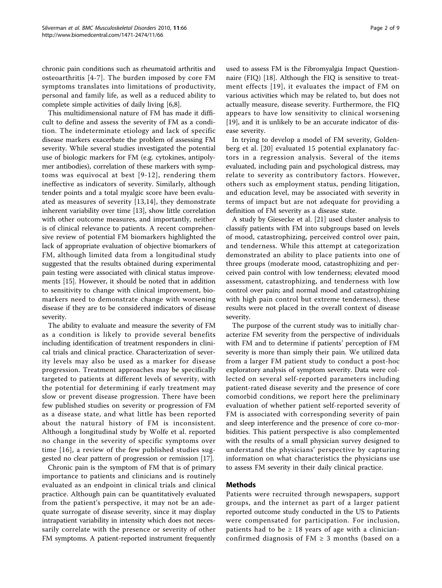chronic pain conditions such as rheumatoid arthritis and osteoarthritis [[4-7\]](#page-7-0). The burden imposed by core FM symptoms translates into limitations of productivity, personal and family life, as well as a reduced ability to complete simple activities of daily living [[6](#page-7-0),[8](#page-7-0)].

This multidimensional nature of FM has made it difficult to define and assess the severity of FM as a condition. The indeterminate etiology and lack of specific disease markers exacerbate the problem of assessing FM severity. While several studies investigated the potential use of biologic markers for FM (e.g. cytokines, antipolymer antibodies), correlation of these markers with symptoms was equivocal at best [[9-12\]](#page-7-0), rendering them ineffective as indicators of severity. Similarly, although tender points and a total myalgic score have been evaluated as measures of severity [\[13](#page-7-0),[14\]](#page-7-0), they demonstrate inherent variability over time [\[13](#page-7-0)], show little correlation with other outcome measures, and importantly, neither is of clinical relevance to patients. A recent comprehensive review of potential FM biomarkers highlighted the lack of appropriate evaluation of objective biomarkers of FM, although limited data from a longitudinal study suggested that the results obtained during experimental pain testing were associated with clinical status improvements [[15\]](#page-7-0). However, it should be noted that in addition to sensitivity to change with clinical improvement, biomarkers need to demonstrate change with worsening disease if they are to be considered indicators of disease severity.

The ability to evaluate and measure the severity of FM as a condition is likely to provide several benefits including identification of treatment responders in clinical trials and clinical practice. Characterization of severity levels may also be used as a marker for disease progression. Treatment approaches may be specifically targeted to patients at different levels of severity, with the potential for determining if early treatment may slow or prevent disease progression. There have been few published studies on severity or progression of FM as a disease state, and what little has been reported about the natural history of FM is inconsistent. Although a longitudinal study by Wolfe et al. reported no change in the severity of specific symptoms over time [\[16\]](#page-7-0), a review of the few published studies suggested no clear pattern of progression or remission [[17](#page-7-0)].

Chronic pain is the symptom of FM that is of primary importance to patients and clinicians and is routinely evaluated as an endpoint in clinical trials and clinical practice. Although pain can be quantitatively evaluated from the patient's perspective, it may not be an adequate surrogate of disease severity, since it may display intrapatient variability in intensity which does not necessarily correlate with the presence or severity of other FM symptoms. A patient-reported instrument frequently

used to assess FM is the Fibromyalgia Impact Questionnaire (FIQ) [\[18](#page-7-0)]. Although the FIQ is sensitive to treatment effects [[19\]](#page-7-0), it evaluates the impact of FM on various activities which may be related to, but does not actually measure, disease severity. Furthermore, the FIQ appears to have low sensitivity to clinical worsening [[19\]](#page-7-0), and it is unlikely to be an accurate indicator of disease severity.

In trying to develop a model of FM severity, Goldenberg et al. [[20\]](#page-7-0) evaluated 15 potential explanatory factors in a regression analysis. Several of the items evaluated, including pain and psychological distress, may relate to severity as contributory factors. However, others such as employment status, pending litigation, and education level, may be associated with severity in terms of impact but are not adequate for providing a definition of FM severity as a disease state.

A study by Giesecke et al. [[21\]](#page-7-0) used cluster analysis to classify patients with FM into subgroups based on levels of mood, catastrophizing, perceived control over pain, and tenderness. While this attempt at categorization demonstrated an ability to place patients into one of three groups (moderate mood, catastrophizing and perceived pain control with low tenderness; elevated mood assessment, catastrophizing, and tenderness with low control over pain; and normal mood and catastrophizing with high pain control but extreme tenderness), these results were not placed in the overall context of disease severity.

The purpose of the current study was to initially characterize FM severity from the perspective of individuals with FM and to determine if patients' perception of FM severity is more than simply their pain. We utilized data from a larger FM patient study to conduct a post-hoc exploratory analysis of symptom severity. Data were collected on several self-reported parameters including patient-rated disease severity and the presence of core comorbid conditions, we report here the preliminary evaluation of whether patient self-reported severity of FM is associated with corresponding severity of pain and sleep interference and the presence of core co-morbidities. This patient perspective is also complemented with the results of a small physician survey designed to understand the physicians' perspective by capturing information on what characteristics the physicians use to assess FM severity in their daily clinical practice.

## Methods

Patients were recruited through newspapers, support groups, and the internet as part of a larger patient reported outcome study conducted in the US to Patients were compensated for participation. For inclusion, patients had to be  $\geq$  18 years of age with a clinicianconfirmed diagnosis of  $FM \geq 3$  months (based on a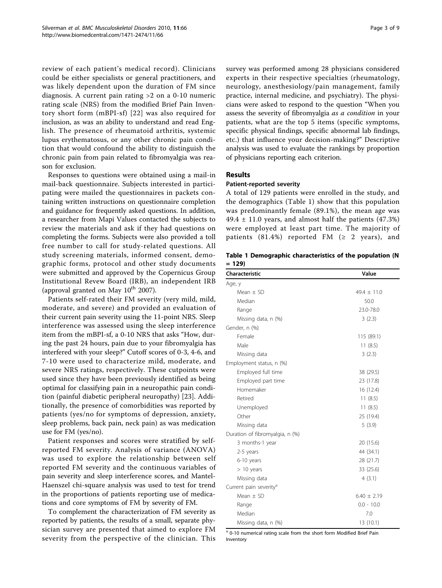review of each patient's medical record). Clinicians could be either specialists or general practitioners, and was likely dependent upon the duration of FM since diagnosis. A current pain rating >2 on a 0-10 numeric rating scale (NRS) from the modified Brief Pain Inventory short form (mBPI-sf) [[22\]](#page-7-0) was also required for inclusion, as was an ability to understand and read English. The presence of rheumatoid arthritis, systemic lupus erythematosus, or any other chronic pain condition that would confound the ability to distinguish the chronic pain from pain related to fibromyalgia was reason for exclusion.

Responses to questions were obtained using a mail-in mail-back questionnaire. Subjects interested in participating were mailed the questionnaires in packets containing written instructions on questionnaire completion and guidance for frequently asked questions. In addition, a researcher from Mapi Values contacted the subjects to review the materials and ask if they had questions on completing the forms. Subjects were also provided a toll free number to call for study-related questions. All study screening materials, informed consent, demographic forms, protocol and other study documents were submitted and approved by the Copernicus Group Institutional Revew Board (IRB), an independent IRB (approval granted on May  $10^{th}$  2007).

Patients self-rated their FM severity (very mild, mild, moderate, and severe) and provided an evaluation of their current pain severity using the 11-point NRS. Sleep interference was assessed using the sleep interference item from the mBPI-sf, a 0-10 NRS that asks "How, during the past 24 hours, pain due to your fibromyalgia has interfered with your sleep?" Cutoff scores of 0-3, 4-6, and 7-10 were used to characterize mild, moderate, and severe NRS ratings, respectively. These cutpoints were used since they have been previously identified as being optimal for classifying pain in a neuropathic pain condition (painful diabetic peripheral neuropathy) [\[23](#page-7-0)]. Additionally, the presence of comorbidities was reported by patients (yes/no for symptoms of depression, anxiety, sleep problems, back pain, neck pain) as was medication use for FM (yes/no).

Patient responses and scores were stratified by selfreported FM severity. Analysis of variance (ANOVA) was used to explore the relationship between self reported FM severity and the continuous variables of pain severity and sleep interference scores, and Mantel-Haenszel chi-square analysis was used to test for trend in the proportions of patients reporting use of medications and core symptoms of FM by severity of FM.

To complement the characterization of FM severity as reported by patients, the results of a small, separate physician survey are presented that aimed to explore FM severity from the perspective of the clinician. This survey was performed among 28 physicians considered experts in their respective specialties (rheumatology, neurology, anesthesiology/pain management, family practice, internal medicine, and psychiatry). The physicians were asked to respond to the question "When you assess the severity of fibromyalgia *as a condition* in your patients, what are the top 5 items (specific symptoms, specific physical findings, specific abnormal lab findings, etc.) that influence your decision-making?" Descriptive analysis was used to evaluate the rankings by proportion of physicians reporting each criterion.

## Results

### Patient-reported severity

A total of 129 patients were enrolled in the study, and the demographics (Table 1) show that this population was predominantly female (89.1%), the mean age was 49.4  $\pm$  11.0 years, and almost half the patients (47.3%) were employed at least part time. The majority of patients (81.4%) reported FM ( $\geq$  2 years), and

Table 1 Demographic characteristics of the population (N  $= 129$ 

| <b>Characteristic</b>              | Value           |  |  |
|------------------------------------|-----------------|--|--|
| Age, y                             |                 |  |  |
| Mean $\pm$ SD                      | $49.4 \pm 11.0$ |  |  |
| Median                             | 50.0            |  |  |
| Range                              | 23.0-78.0       |  |  |
| Missing data, n (%)                | 3(2.3)          |  |  |
| Gender, n (%)                      |                 |  |  |
| Female                             | 115 (89.1)      |  |  |
| Male                               | 11(8.5)         |  |  |
| Missing data                       | 3(2.3)          |  |  |
| Employment status, n (%)           |                 |  |  |
| Employed full time                 | 38 (29.5)       |  |  |
| Employed part time                 | 23 (17.8)       |  |  |
| Homemaker                          | 16 (12.4)       |  |  |
| Retired                            | 11(8.5)         |  |  |
| Unemployed                         | 11(8.5)         |  |  |
| Other                              | 25 (19.4)       |  |  |
| Missing data                       | 5(3.9)          |  |  |
| Duration of fibromyalgia, n (%)    |                 |  |  |
| 3 months-1 year                    | 20 (15.6)       |  |  |
| 2-5 years                          | 44 (34.1)       |  |  |
| 6-10 years                         | 28 (21.7)       |  |  |
| $> 10$ years                       | 33 (25.6)       |  |  |
| Missing data                       | 4(3.1)          |  |  |
| Current pain severity <sup>a</sup> |                 |  |  |
| Mean $\pm$ SD                      | $6.40 \pm 2.19$ |  |  |
| Range                              | $0.0 - 10.0$    |  |  |
| Median                             | 7.0             |  |  |
| Missing data, n (%)                | 13 (10.1)       |  |  |

<sup>a</sup> 0-10 numerical rating scale from the short form Modified Brief Pain Inventory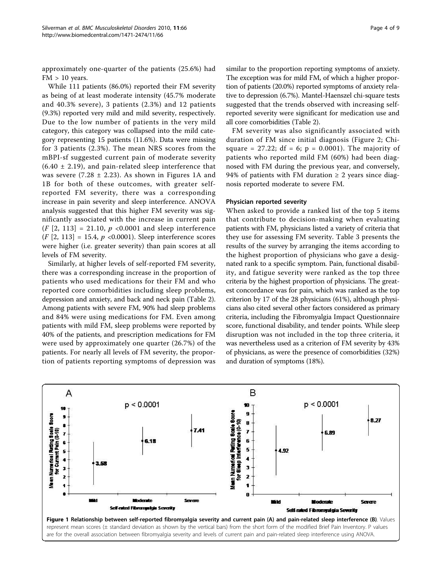approximately one-quarter of the patients (25.6%) had  $FM > 10$  years.

While 111 patients (86.0%) reported their FM severity as being of at least moderate intensity (45.7% moderate and 40.3% severe), 3 patients (2.3%) and 12 patients (9.3%) reported very mild and mild severity, respectively. Due to the low number of patients in the very mild category, this category was collapsed into the mild category representing 15 patients (11.6%). Data were missing for 3 patients (2.3%). The mean NRS scores from the mBPI-sf suggested current pain of moderate severity  $(6.40 \pm 2.19)$ , and pain-related sleep interference that was severe (7.28  $\pm$  2.23). As shown in Figures 1A and 1B for both of these outcomes, with greater selfreported FM severity, there was a corresponding increase in pain severity and sleep interference. ANOVA analysis suggested that this higher FM severity was significantly associated with the increase in current pain  $(F [2, 113] = 21.10, p < 0.0001$  and sleep interference  $(F [2, 113] = 15.4, p < 0.0001)$ . Sleep interference scores were higher (i.e. greater severity) than pain scores at all levels of FM severity.

Similarly, at higher levels of self-reported FM severity, there was a corresponding increase in the proportion of patients who used medications for their FM and who reported core comorbidities including sleep problems, depression and anxiety, and back and neck pain (Table [2](#page-4-0)). Among patients with severe FM, 90% had sleep problems and 84% were using medications for FM. Even among patients with mild FM, sleep problems were reported by 40% of the patients, and prescription medications for FM were used by approximately one quarter (26.7%) of the patients. For nearly all levels of FM severity, the proportion of patients reporting symptoms of depression was

similar to the proportion reporting symptoms of anxiety. The exception was for mild FM, of which a higher proportion of patients (20.0%) reported symptoms of anxiety relative to depression (6.7%). Mantel-Haenszel chi-square tests suggested that the trends observed with increasing selfreported severity were significant for medication use and all core comorbidities (Table [2](#page-4-0)).

FM severity was also significantly associated with duration of FM since initial diagnosis (Figure [2;](#page-4-0) Chisquare = 27.22; df = 6;  $p = 0.0001$ ). The majority of patients who reported mild FM (60%) had been diagnosed with FM during the previous year, and conversely, 94% of patients with FM duration  $\geq$  2 years since diagnosis reported moderate to severe FM.

#### Physician reported severity

When asked to provide a ranked list of the top 5 items that contribute to decision-making when evaluating patients with FM, physicians listed a variety of criteria that they use for assessing FM severity. Table [3](#page-5-0) presents the results of the survey by arranging the items according to the highest proportion of physicians who gave a designated rank to a specific symptom. Pain, functional disability, and fatigue severity were ranked as the top three criteria by the highest proportion of physicians. The greatest concordance was for pain, which was ranked as the top criterion by 17 of the 28 physicians (61%), although physicians also cited several other factors considered as primary criteria, including the Fibromyalgia Impact Questionnaire score, functional disability, and tender points. While sleep disruption was not included in the top three criteria, it was nevertheless used as a criterion of FM severity by 43% of physicians, as were the presence of comorbidities (32%) and duration of symptoms (18%).

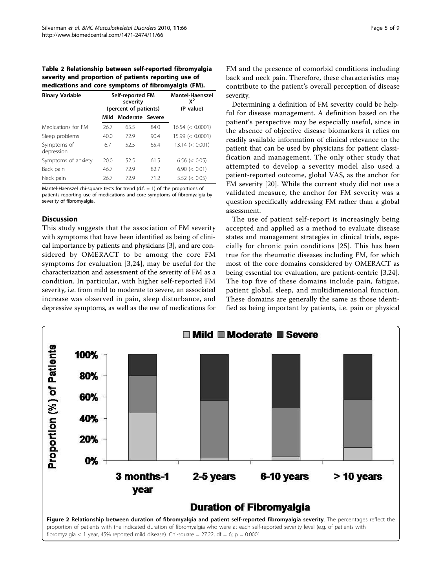<span id="page-4-0"></span>Table 2 Relationship between self-reported fibromyalgia severity and proportion of patients reporting use of medications and core symptoms of fibromyalgia (FM).

| Self-reported FM<br>severity<br>(percent of patients) |      |      | <b>Mantel-Haenszel</b><br>$x^2$<br>(P value) |
|-------------------------------------------------------|------|------|----------------------------------------------|
| Mild                                                  |      |      |                                              |
| 26.7                                                  | 65.5 | 84.0 | $16.54 \leq 0.0001$                          |
| 40.0                                                  | 72.9 | 90.4 | 15.99 (< 0.0001)                             |
| 6.7                                                   | 52.5 | 65.4 | 13.14 (< 0.001)                              |
| 20.0                                                  | 52.5 | 61.5 | $6.56 \le 0.05$                              |
| 46.7                                                  | 72.9 | 82.7 | 6.90 (< 0.01)                                |
| 26.7                                                  | 729  | 71.2 | $5.52 \le 0.05$                              |
|                                                       |      |      | Moderate Severe                              |

Mantel-Haenszel chi-square tests for trend  $(d.f. = 1)$  of the proportions of patients reporting use of medications and core symptoms of fibromyalgia by severity of fibromyalgia.

## **Discussion**

This study suggests that the association of FM severity with symptoms that have been identified as being of clinical importance by patients and physicians [[3\]](#page-7-0), and are considered by OMERACT to be among the core FM symptoms for evaluation [[3](#page-7-0),[24\]](#page-7-0), may be useful for the characterization and assessment of the severity of FM as a condition. In particular, with higher self-reported FM severity, i.e. from mild to moderate to severe, an associated increase was observed in pain, sleep disturbance, and depressive symptoms, as well as the use of medications for

FM and the presence of comorbid conditions including back and neck pain. Therefore, these characteristics may contribute to the patient's overall perception of disease severity.

Determining a definition of FM severity could be helpful for disease management. A definition based on the patient's perspective may be especially useful, since in the absence of objective disease biomarkers it relies on readily available information of clinical relevance to the patient that can be used by physicians for patient classification and management. The only other study that attempted to develop a severity model also used a patient-reported outcome, global VAS, as the anchor for FM severity [\[20](#page-7-0)]. While the current study did not use a validated measure, the anchor for FM severity was a question specifically addressing FM rather than a global assessment.

The use of patient self-report is increasingly being accepted and applied as a method to evaluate disease states and management strategies in clinical trials, especially for chronic pain conditions [[25](#page-7-0)]. This has been true for the rheumatic diseases including FM, for which most of the core domains considered by OMERACT as being essential for evaluation, are patient-centric [[3,24](#page-7-0)]. The top five of these domains include pain, fatigue, patient global, sleep, and multidimensional function. These domains are generally the same as those identified as being important by patients, i.e. pain or physical

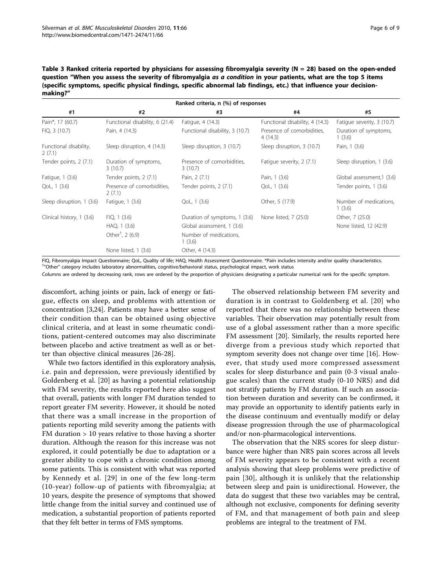<span id="page-5-0"></span>Table 3 Ranked criteria reported by physicians for assessing fibromyalgia severity ( $N = 28$ ) based on the open-ended question "When you assess the severity of fibromyalgia as a condition in your patients, what are the top 5 items (specific symptoms, specific physical findings, specific abnormal lab findings, etc.) that influence your decisionmaking?"

| Ranked criteria, n (%) of responses |                                      |                                       |                                                                          |                                  |  |  |  |  |  |
|-------------------------------------|--------------------------------------|---------------------------------------|--------------------------------------------------------------------------|----------------------------------|--|--|--|--|--|
| #1                                  | #2                                   | #3                                    | #4                                                                       | #5                               |  |  |  |  |  |
| Pain*, 17 (60.7)                    | Functional disability, 6 (21.4)      | Fatigue, 4 (14.3)                     | Functional disability, 4 (14.3)                                          | Fatigue severity, 3 (10.7)       |  |  |  |  |  |
| FIQ, 3 (10.7)                       | Pain, 4 (14.3)                       | Functional disability, 3 (10.7)       | Presence of comorbidities.<br>4(14.3)                                    | Duration of symptoms,<br>1(3.6)  |  |  |  |  |  |
| Functional disability,<br>2(7.1)    | Sleep disruption, 4 (14.3)           | Sleep disruption, 3 (10.7)            | Sleep disruption, 3 (10.7)                                               | Pain, 1 (3.6)                    |  |  |  |  |  |
| Tender points, 2 (7.1)              | Duration of symptoms,<br>3(10.7)     | Presence of comorbidities,<br>3(10.7) | Fatigue severity, 2 (7.1)                                                | Sleep disruption, 1 (3.6)        |  |  |  |  |  |
| Fatigue, 1 (3.6)                    | Tender points, 2 (7.1)               | Pain, 2 (7.1)                         | Pain, 1 (3.6)                                                            | Global assessment,1 (3.6)        |  |  |  |  |  |
| QoL, 1 (3.6)                        | Presence of comorbidities,<br>2(7.1) | Tender points, 2 (7.1)                | QoL, 1 (3.6)                                                             | Tender points, 1 (3.6)           |  |  |  |  |  |
| Sleep disruption, 1 (3.6)           | Fatigue, 1 (3.6)                     | QoL, 1 (3.6)                          | Other, 5 (17.9)                                                          | Number of medications,<br>1(3.6) |  |  |  |  |  |
| Clinical history, 1 (3.6)           | FIO, 1(3.6)                          | Duration of symptoms, 1 (3.6)         | None listed, 7 (25.0)                                                    | Other, 7 (25.0)                  |  |  |  |  |  |
|                                     | HAQ, 1 (3.6)                         | Global assessment, 1 (3.6)            |                                                                          | None listed, 12 (42.9)           |  |  |  |  |  |
|                                     | Other <sup>†</sup> , 2 (6.9)         | Number of medications,<br>1(3.6)      |                                                                          |                                  |  |  |  |  |  |
|                                     | None listed, 1 (3.6)                 | Other, 4 (14.3)                       |                                                                          |                                  |  |  |  |  |  |
| --- --<br>$\cdot$ $\cdot$ $\cdot$   | $\sim$ $\sim$ $\sim$ $\sim$ $\sim$   |                                       | $\sim$ $\sim$ $\sim$ $\sim$ $\sim$ $\sim$ $\sim$ $\sim$<br>$\sim$ $\sim$ | $\cdots$ $\cdots$                |  |  |  |  |  |

FIQ, Fibromyalgia Impact Questionnaire; QoL, Quality of life; HAQ, Health Assessment Questionnaire. \*Pain includes intensity and/or quality characteristics. † "Other" category includes laboratory abnormalities, cognitive/behavioral status, psychological impact, work status

Columns are ordered by decreasing rank, rows are ordered by the proportion of physicians designating a particular numerical rank for the specific symptom.

discomfort, aching joints or pain, lack of energy or fatigue, effects on sleep, and problems with attention or concentration [[3,24](#page-7-0)]. Patients may have a better sense of their condition than can be obtained using objective clinical criteria, and at least in some rheumatic conditions, patient-centered outcomes may also discriminate between placebo and active treatment as well as or better than objective clinical measures [[26-28\]](#page-7-0).

While two factors identified in this exploratory analysis, i.e. pain and depression, were previously identified by Goldenberg et al. [\[20](#page-7-0)] as having a potential relationship with FM severity, the results reported here also suggest that overall, patients with longer FM duration tended to report greater FM severity. However, it should be noted that there was a small increase in the proportion of patients reporting mild severity among the patients with FM duration > 10 years relative to those having a shorter duration. Although the reason for this increase was not explored, it could potentially be due to adaptation or a greater ability to cope with a chronic condition among some patients. This is consistent with what was reported by Kennedy et al. [\[29](#page-7-0)] in one of the few long-term (10-year) follow-up of patients with fibromyalgia; at 10 years, despite the presence of symptoms that showed little change from the initial survey and continued use of medication, a substantial proportion of patients reported that they felt better in terms of FMS symptoms.

The observed relationship between FM severity and duration is in contrast to Goldenberg et al. [[20\]](#page-7-0) who reported that there was no relationship between these variables. Their observation may potentially result from use of a global assessment rather than a more specific FM assessment [[20](#page-7-0)]. Similarly, the results reported here diverge from a previous study which reported that symptom severity does not change over time [\[16\]](#page-7-0). However, that study used more compressed assessment scales for sleep disturbance and pain (0-3 visual analogue scales) than the current study (0-10 NRS) and did not stratify patients by FM duration. If such an association between duration and severity can be confirmed, it may provide an opportunity to identify patients early in the disease continuum and eventually modify or delay disease progression through the use of pharmacological and/or non-pharmacological interventions.

The observation that the NRS scores for sleep disturbance were higher than NRS pain scores across all levels of FM severity appears to be consistent with a recent analysis showing that sleep problems were predictive of pain [\[30\]](#page-7-0), although it is unlikely that the relationship between sleep and pain is unidirectional. However, the data do suggest that these two variables may be central, although not exclusive, components for defining severity of FM, and that management of both pain and sleep problems are integral to the treatment of FM.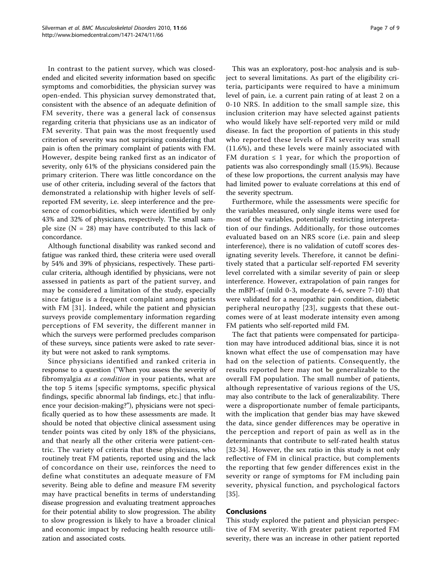In contrast to the patient survey, which was closedended and elicited severity information based on specific symptoms and comorbidities, the physician survey was open-ended. This physician survey demonstrated that, consistent with the absence of an adequate definition of FM severity, there was a general lack of consensus regarding criteria that physicians use as an indicator of FM severity. That pain was the most frequently used criterion of severity was not surprising considering that pain is often the primary complaint of patients with FM. However, despite being ranked first as an indicator of severity, only 61% of the physicians considered pain the primary criterion. There was little concordance on the use of other criteria, including several of the factors that demonstrated a relationship with higher levels of selfreported FM severity, i.e. sleep interference and the presence of comorbidities, which were identified by only 43% and 32% of physicians, respectively. The small sample size  $(N = 28)$  may have contributed to this lack of concordance.

Although functional disability was ranked second and fatigue was ranked third, these criteria were used overall by 54% and 39% of physicians, respectively. These particular criteria, although identified by physicians, were not assessed in patients as part of the patient survey, and may be considered a limitation of the study, especially since fatigue is a frequent complaint among patients with FM [\[31\]](#page-7-0). Indeed, while the patient and physician surveys provide complementary information regarding perceptions of FM severity, the different manner in which the surveys were performed precludes comparison of these surveys, since patients were asked to rate severity but were not asked to rank symptoms.

Since physicians identified and ranked criteria in response to a question ("When you assess the severity of fibromyalgia as a condition in your patients, what are the top 5 items [specific symptoms, specific physical findings, specific abnormal lab findings, etc.] that influence your decision-making?"), physicians were not specifically queried as to how these assessments are made. It should be noted that objective clinical assessment using tender points was cited by only 18% of the physicians, and that nearly all the other criteria were patient-centric. The variety of criteria that these physicians, who routinely treat FM patients, reported using and the lack of concordance on their use, reinforces the need to define what constitutes an adequate measure of FM severity. Being able to define and measure FM severity may have practical benefits in terms of understanding disease progression and evaluating treatment approaches for their potential ability to slow progression. The ability to slow progression is likely to have a broader clinical and economic impact by reducing health resource utilization and associated costs.

This was an exploratory, post-hoc analysis and is subject to several limitations. As part of the eligibility criteria, participants were required to have a minimum level of pain, i.e. a current pain rating of at least 2 on a 0-10 NRS. In addition to the small sample size, this inclusion criterion may have selected against patients who would likely have self-reported very mild or mild disease. In fact the proportion of patients in this study who reported these levels of FM severity was small (11.6%), and these levels were mainly associated with FM duration  $\leq 1$  year, for which the proportion of patients was also correspondingly small (15.9%). Because of these low proportions, the current analysis may have had limited power to evaluate correlations at this end of the severity spectrum.

Furthermore, while the assessments were specific for the variables measured, only single items were used for most of the variables, potentially restricting interpretation of our findings. Additionally, for those outcomes evaluated based on an NRS score (i.e. pain and sleep interference), there is no validation of cutoff scores designating severity levels. Therefore, it cannot be definitively stated that a particular self-reported FM severity level correlated with a similar severity of pain or sleep interference. However, extrapolation of pain ranges for the mBPI-sf (mild 0-3, moderate 4-6, severe 7-10) that were validated for a neuropathic pain condition, diabetic peripheral neuropathy [[23\]](#page-7-0), suggests that these outcomes were of at least moderate intensity even among FM patients who self-reported mild FM.

The fact that patients were compensated for participation may have introduced additional bias, since it is not known what effect the use of compensation may have had on the selection of patients. Consequently, the results reported here may not be generalizable to the overall FM population. The small number of patients, although representative of various regions of the US, may also contribute to the lack of generalizability. There were a disproportionate number of female participants, with the implication that gender bias may have skewed the data, since gender differences may be operative in the perception and report of pain as well as in the determinants that contribute to self-rated health status [[32-34](#page-8-0)]. However, the sex ratio in this study is not only reflective of FM in clinical practice, but complements the reporting that few gender differences exist in the severity or range of symptoms for FM including pain severity, physical function, and psychological factors [[35\]](#page-8-0).

## Conclusions

This study explored the patient and physician perspective of FM severity. With greater patient reported FM severity, there was an increase in other patient reported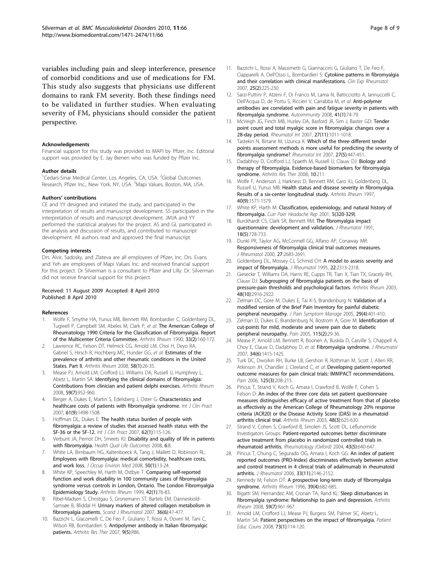<span id="page-7-0"></span>variables including pain and sleep interference, presence of comorbid conditions and use of medications for FM. This study also suggests that physicians use different domains to rank FM severity. Both these findings need to be validated in further studies. When evaluating severity of FM, physicians should consider the patient perspective.

#### Acknowledgements

Financial support for this study was provided to MAPI by Pfizer, Inc. Editorial support was provided by E. Jay Bienen who was funded by Pfizer Inc.

#### Author details

<sup>1</sup>Cedars-Sinai Medical Center, Los Angeles, CA, USA. <sup>2</sup>Global Outcomes Research, Pfizer Inc., New York, NY, USA. <sup>3</sup>Mapi Values, Boston, MA, USA.

#### Authors' contributions

CE and YY designed and initiated the study, and participated in the interpretation of results and manuscript development. SS participated in the interpretation of results and manuscript development. JMJA and YY performed the statistical analyses for the project. AS and GL participated in the analysis and discussion of results, and contributed to manuscript development. All authors read and approved the final manuscript.

#### Competing interests

Drs. Alvir, Sadosky, and Zlateva are all employees of Pfizer, Inc. Drs. Evans and Yeh are employees of Mapi Values Inc. and received financial support for this project. Dr Silverman is a consultant to Pfizer and Lilly. Dr. Silverman did not receive financial support for this project.

#### Received: 11 August 2009 Accepted: 8 April 2010 Published: 8 April 2010

#### References

- 1. Wolfe F, Smythe HA, Yunus MB, Bennett RM, Bombardier C, Goldenberg DL, Tugwell P, Campbell SM, Abeles M, Clark P, et al: [The American College of](http://www.ncbi.nlm.nih.gov/pubmed/2306288?dopt=Abstract) [Rheumatology 1990 Criteria for the Classification of Fibromyalgia. Report](http://www.ncbi.nlm.nih.gov/pubmed/2306288?dopt=Abstract) [of the Multicenter Criteria Committee.](http://www.ncbi.nlm.nih.gov/pubmed/2306288?dopt=Abstract) Arthritis Rheum 1990, 33(2):160-172.
- 2. Lawrence RC, Felson DT, Helmick CG, Arnold LM, Choi H, Deyo RA, Gabriel S, Hirsch R, Hochberg MC, Hunder GG, et al: [Estimates of the](http://www.ncbi.nlm.nih.gov/pubmed/18163497?dopt=Abstract) [prevalence of arthritis and other rheumatic conditions in the United](http://www.ncbi.nlm.nih.gov/pubmed/18163497?dopt=Abstract) [States. Part II.](http://www.ncbi.nlm.nih.gov/pubmed/18163497?dopt=Abstract) Arthritis Rheum 2008, 58(1):26-35.
- 3. Mease PJ, Arnold LM, Crofford LJ, Williams DA, Russell IJ, Humphrey L, Abetz L, Martin SA: [Identifying the clinical domains of fibromyalgia:](http://www.ncbi.nlm.nih.gov/pubmed/18576290?dopt=Abstract) [Contributions from clinician and patient delphi exercises.](http://www.ncbi.nlm.nih.gov/pubmed/18576290?dopt=Abstract) Arthritis Rheum 2008, 59(7):952-960.
- Berger A, Dukes E, Martin S, Edelsberg J, Oster G: [Characteristics and](http://www.ncbi.nlm.nih.gov/pubmed/17655684?dopt=Abstract) [healthcare costs of patients with fibromyalgia syndrome.](http://www.ncbi.nlm.nih.gov/pubmed/17655684?dopt=Abstract) Int J Clin Pract 2007, 61(9):1498-1508.
- Hoffman DL, Dukes E: [The health status burden of people with](http://www.ncbi.nlm.nih.gov/pubmed/18039330?dopt=Abstract) [fibromyalgia: a review of studies that assessed health status with the](http://www.ncbi.nlm.nih.gov/pubmed/18039330?dopt=Abstract) [SF-36 or the SF-12.](http://www.ncbi.nlm.nih.gov/pubmed/18039330?dopt=Abstract) Int J Clin Pract 2007, 62(1):115-126.
- 6. Verbunt JA, Pernot DH, Smeets RJ: [Disability and quality of life in patients](http://www.ncbi.nlm.nih.gov/pubmed/18211701?dopt=Abstract) [with fibromyalgia.](http://www.ncbi.nlm.nih.gov/pubmed/18211701?dopt=Abstract) Health Qual Life Outcomes 2008, 6:8.
- 7. White LA, Birnbaum HG, Kaltenboeck A, Tang J, Mallett D, Robinson RL: [Employees with fibromyalgia: medical comorbidity, healthcare costs,](http://www.ncbi.nlm.nih.gov/pubmed/18188077?dopt=Abstract) [and work loss.](http://www.ncbi.nlm.nih.gov/pubmed/18188077?dopt=Abstract) J Occup Environ Med 2008, 50(1):13-24.
- 8. White KP, Speechley M, Harth M, Ostbye T: [Comparing self-reported](http://www.ncbi.nlm.nih.gov/pubmed/9920017?dopt=Abstract) [function and work disability in 100 community cases of fibromyalgia](http://www.ncbi.nlm.nih.gov/pubmed/9920017?dopt=Abstract) [syndrome versus controls in London, Ontario. The London Fibromyalgia](http://www.ncbi.nlm.nih.gov/pubmed/9920017?dopt=Abstract) [Epidemiology Study.](http://www.ncbi.nlm.nih.gov/pubmed/9920017?dopt=Abstract) Arthritis Rheum 1999, 42(1):76-83.
- 9. Ribel-Madsen S, Christgau S, Gronemann ST, Bartels EM, Danneskiold-Samsøe B, Bliddal H: Urinary markers of altered collagen metabolism in fibromyalgia patients. Scand J Rheumatol 2007, 36(6):47-477.
- 10. Bazzichi L, Giacomelli C, De Feo F, Giuliano T, Rossi A, Doveri M, Tani C, Wilson RB, Bombardieri S: [Antipolymer antibody in Italian fibromyalgic](http://www.ncbi.nlm.nih.gov/pubmed/17822528?dopt=Abstract) [patients.](http://www.ncbi.nlm.nih.gov/pubmed/17822528?dopt=Abstract) Arthritis Res Ther 2007, 9(5):R86.
- 11. Bazzichi L, Rossi A, Massimetti G, Giannaccini G, Giuliano T, De Feo F, Ciapparelli A, Dell'Osso L, Bombardieri S: [Cytokine patterns in fibromyalgia](http://www.ncbi.nlm.nih.gov/pubmed/17543146?dopt=Abstract) [and their correlation with clinical manifestations.](http://www.ncbi.nlm.nih.gov/pubmed/17543146?dopt=Abstract) Clin Exp Rheumatol 2007, 25(2):225-230.
- 12. Sarzi-Puttini P, Atzeni F, Di Franco M, Lama N, Batticciotto A, Iannuccelli C, Dell'Acqua D, de Portu S, Riccieri V, Carrabba M, et al: [Anti-polymer](http://www.ncbi.nlm.nih.gov/pubmed/18176867?dopt=Abstract) [antibodies are correlated with pain and fatigue severity in patients with](http://www.ncbi.nlm.nih.gov/pubmed/18176867?dopt=Abstract) [fibromyalgia syndrome.](http://www.ncbi.nlm.nih.gov/pubmed/18176867?dopt=Abstract) Autoimmunity 2008, 41(1):74-79.
- 13. McVeigh JG, Finch MB, Hurley DA, Basford JR, Sim J, Baxter GD: [Tender](http://www.ncbi.nlm.nih.gov/pubmed/17641895?dopt=Abstract) [point count and total myalgic score in fibromyalgia: changes over a](http://www.ncbi.nlm.nih.gov/pubmed/17641895?dopt=Abstract) [28-day period.](http://www.ncbi.nlm.nih.gov/pubmed/17641895?dopt=Abstract) Rheumatol Int 2007, 27(11):1011-1018.
- 14. Tastekin N, Birtane M, Uzunca K: [Which of the three different tender](http://www.ncbi.nlm.nih.gov/pubmed/17028859?dopt=Abstract) [points assessment methods is more useful for predicting the severity of](http://www.ncbi.nlm.nih.gov/pubmed/17028859?dopt=Abstract) [fibromyalgia syndrome?](http://www.ncbi.nlm.nih.gov/pubmed/17028859?dopt=Abstract) Rheumatol Int 2007, 27(5):447-451.
- 15. Dadabhoy D, Crofford LJ, Spaeth M, Russell IJ, Clauw DJ: [Biology and](http://www.ncbi.nlm.nih.gov/pubmed/18768089?dopt=Abstract) [therapy of fibromyalgia. Evidence-based biomarkers for fibromyalgia](http://www.ncbi.nlm.nih.gov/pubmed/18768089?dopt=Abstract) [syndrome.](http://www.ncbi.nlm.nih.gov/pubmed/18768089?dopt=Abstract) Arthritis Res Ther 2008, 10:211.
- 16. Wolfe F, Anderson J, Harkness D, Bennett RM, Caro XJ, Goldenberg DL, Russell IJ, Yunus MB: [Health status and disease severity in fibromyalgia.](http://www.ncbi.nlm.nih.gov/pubmed/9324010?dopt=Abstract) [Results of a six-center longitudinal study.](http://www.ncbi.nlm.nih.gov/pubmed/9324010?dopt=Abstract) Arthritis Rheum 1997, 40(9):1571-1579.
- 17. White KP, Harth M: [Classification, epidemiology, and natural history of](http://www.ncbi.nlm.nih.gov/pubmed/11403735?dopt=Abstract) fibromvalgia. Curr Pain Headache Rep 2001, 5(320-329).
- 18. Burckhardt CS, Clark SR, Bennett RM: [The fibromyalgia impact](http://www.ncbi.nlm.nih.gov/pubmed/1865419?dopt=Abstract) [questionnaire: development and validation.](http://www.ncbi.nlm.nih.gov/pubmed/1865419?dopt=Abstract) J Rheumatol 1991, 18(5):728-733.
- 19. Dunkl PR, Taylor AG, McConnell GG, Alfano AP, Conaway MR: [Responsiveness of fibromyalgia clinical trial outcomes measures.](http://www.ncbi.nlm.nih.gov/pubmed/11093454?dopt=Abstract) J Rheumatol 2000, 27:2683-2691.
- 20. Goldenberg DL, Mossey CJ, Schmid CH: [A model to assess severity and](http://www.ncbi.nlm.nih.gov/pubmed/8835568?dopt=Abstract) [impact of fibromyalgia.](http://www.ncbi.nlm.nih.gov/pubmed/8835568?dopt=Abstract) J Rheumatol 1995, 22:2313-2318.
- 21. Giesecke T, Williams DA, Harris RE, Cupps TR, Tian X, Tian TX, Gracely RH, Clauw DJ: [Subgrouping of fibromyalgia patients on the basis of](http://www.ncbi.nlm.nih.gov/pubmed/14558098?dopt=Abstract) [pressure-pain thresholds and psychological factors.](http://www.ncbi.nlm.nih.gov/pubmed/14558098?dopt=Abstract) Arthritis Rheum 2003, 48(10):2916-2922.
- 22. Zelman DC, Gore M, Dukes E, Tai K-S, Brandenburg N: [Validation of a](http://www.ncbi.nlm.nih.gov/pubmed/15857744?dopt=Abstract) [modified version of the Brief Pain Inventory for painful diabetic](http://www.ncbi.nlm.nih.gov/pubmed/15857744?dopt=Abstract) [peripheral neuropathy.](http://www.ncbi.nlm.nih.gov/pubmed/15857744?dopt=Abstract) J Pain Symptom Manage 2005, 29(4):401-410.
- 23. Zelman D, Dukes E, Brandenburg N, Bostrom A, Gore M: [Identification of](http://www.ncbi.nlm.nih.gov/pubmed/15836967?dopt=Abstract) [cut-points for mild, moderate and severe pain due to diabetic](http://www.ncbi.nlm.nih.gov/pubmed/15836967?dopt=Abstract) [peripheral neuropathy.](http://www.ncbi.nlm.nih.gov/pubmed/15836967?dopt=Abstract) Pain 2005, 115(2):29-36.
- 24. Mease P, Arnold LM, Bennett R, Boonen A, Buskila D, Carville S, Chappell A, Choy E, Clauw D, Dadabhoy D, et al: [Fibromyalgia syndrome.](http://www.ncbi.nlm.nih.gov/pubmed/17552068?dopt=Abstract) J Rheumatol 2007, 34(6):1415-1425.
- 25. Turk DC, Dworkin RH, Burke LB, Gershon R, Rothman M, Scott J, Allen RR, Atkinson JH, Chandler J, Cleeland C, et al: [Developing patient-reported](http://www.ncbi.nlm.nih.gov/pubmed/17069973?dopt=Abstract) [outcome measures for pain clinical trials: IMMPACT recommendations.](http://www.ncbi.nlm.nih.gov/pubmed/17069973?dopt=Abstract) Pain 2006, 125(3):208-215.
- 26. Pincus T, Strand V, Koch G, Amara I, Crawford B, Wolfe F, Cohen S, Felson D: [An index of the three core data set patient questionnaire](http://www.ncbi.nlm.nih.gov/pubmed/12632413?dopt=Abstract) [measures distinguishes efficacy of active treatment from that of placebo](http://www.ncbi.nlm.nih.gov/pubmed/12632413?dopt=Abstract) [as effectively as the American College of Rheumatology 20% response](http://www.ncbi.nlm.nih.gov/pubmed/12632413?dopt=Abstract) [criteria \(ACR20\) or the Disease Activity Score \(DAS\) in a rheumatoid](http://www.ncbi.nlm.nih.gov/pubmed/12632413?dopt=Abstract) [arthritis clinical trial.](http://www.ncbi.nlm.nih.gov/pubmed/12632413?dopt=Abstract) Arthritis Rheum 2003, 48(3):625-630.
- 27. Strand V, Cohen S, Crawford B, Smolen JS, Scott DL, Leflunomide Investigators Groups: [Patient-reported outcomes better discriminate](http://www.ncbi.nlm.nih.gov/pubmed/15039493?dopt=Abstract) [active treatment from placebo in randomized controlled trials in](http://www.ncbi.nlm.nih.gov/pubmed/15039493?dopt=Abstract) [rheumatoid arthritis.](http://www.ncbi.nlm.nih.gov/pubmed/15039493?dopt=Abstract) Rheumatology (Oxford) 2004, 43(5):640-647.
- 28. Pincus T, Chung C, Segurado OG, Amara I, Koch GG: [An index of patient](http://www.ncbi.nlm.nih.gov/pubmed/17080518?dopt=Abstract) [reported outcomes \(PRO-Index\) discriminates effectively between active](http://www.ncbi.nlm.nih.gov/pubmed/17080518?dopt=Abstract) [and control treatment in 4 clinical trials of adalimumab in rheumatoid](http://www.ncbi.nlm.nih.gov/pubmed/17080518?dopt=Abstract) [arthritis.](http://www.ncbi.nlm.nih.gov/pubmed/17080518?dopt=Abstract) J Rheumatol 2006, 33(11):2146-2152.
- 29. Kennedy M, Felson DT: [A prospective long-term study of fibromyalgia](http://www.ncbi.nlm.nih.gov/pubmed/8630121?dopt=Abstract) [syndrome.](http://www.ncbi.nlm.nih.gov/pubmed/8630121?dopt=Abstract) Arthritis Rheum 1996, 39(4):682-685.
- 30. Bigatti SM, Hernandez AM, Cronan TA, Rand KL: [Sleep disturbances in](http://www.ncbi.nlm.nih.gov/pubmed/18576297?dopt=Abstract) [fibromyalgia syndrome: Relationship to pain and depression.](http://www.ncbi.nlm.nih.gov/pubmed/18576297?dopt=Abstract) Arthritis Rheum 2008, 59(7):961-967.
- 31. Arnold LM, Crofford LJ, Mease PJ, Burgess SM, Palmer SC, Abetz L, Martin SA: [Patient perspectives on the impact of fibromyalgia.](http://www.ncbi.nlm.nih.gov/pubmed/18640807?dopt=Abstract) Patient Educ Couns 2008, 73(1):114-120.